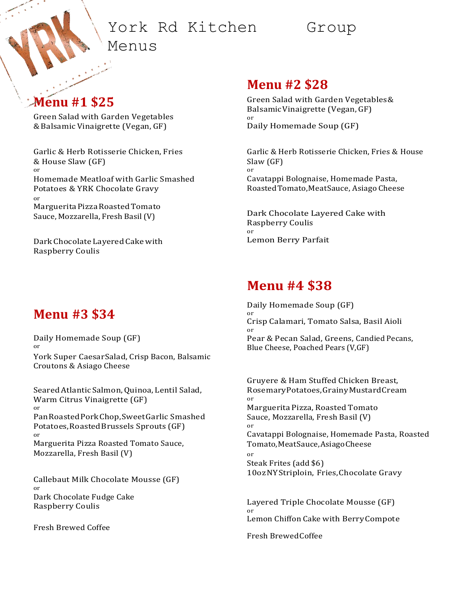# York Rd Kitchen Group

Menus

## **Menu #1 \$25**

Green Salad with Garden Vegetables & Balsamic Vinaigrette (Vegan, GF)

Garlic & Herb Rotisserie Chicken, Fries & House Slaw (GF) or Homemade Meatloaf with Garlic Smashed Potatoes & YRK Chocolate Gravy or MargueritaPizzaRoastedTomato Sauce, Mozzarella, Fresh Basil(V)

DarkChocolate LayeredCakewith Raspberry Coulis

### **Menu #3 \$34**

Daily Homemade Soup (GF) or York Super CaesarSalad, Crisp Bacon, Balsamic Croutons & Asiago Cheese

SearedAtlantic Salmon,Quinoa, Lentil Salad, Warm Citrus Vinaigrette (GF) or PanRoastedPorkChop,SweetGarlic Smashed Potatoes,RoastedBrussels Sprouts (GF) or Marguerita Pizza Roasted Tomato Sauce, Mozzarella, Fresh Basil (V)

Callebaut Milk Chocolate Mousse (GF) or Dark Chocolate Fudge Cake Raspberry Coulis

Fresh Brewed Coffee

#### **Menu #2 \$28**

Green Salad with Garden Vegetables& BalsamicVinaigrette (Vegan, GF) or Daily Homemade Soup (GF)

Garlic & Herb Rotisserie Chicken, Fries & House Slaw (GF) or Cavatappi Bolognaise, Homemade Pasta, RoastedTomato,MeatSauce, Asiago Cheese

Dark Chocolate Layered Cake with Raspberry Coulis or Lemon Berry Parfait

### **Menu #4 \$38**

Daily Homemade Soup (GF) or Crisp Calamari, Tomato Salsa, Basil Aioli or Pear & Pecan Salad, Greens, Candied Pecans, Blue Cheese, Poached Pears (V,GF)

Gruyere & Ham Stuffed Chicken Breast, RosemaryPotatoes,GrainyMustardCream or Marguerita Pizza, Roasted Tomato Sauce, Mozzarella, Fresh Basil (V) or Cavatappi Bolognaise, Homemade Pasta, Roasted Tomato,MeatSauce,AsiagoCheese or Steak Frites (add \$6) 10ozNYStriploin, Fries,Chocolate Gravy

Layered Triple Chocolate Mousse (GF) or Lemon Chiffon Cake with BerryCompote

Fresh BrewedCoffee